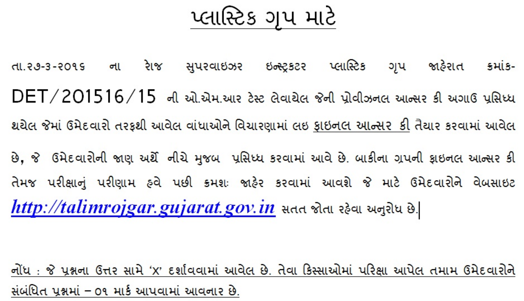પ્લાસ્ટિક ગુપ માટે

તા.૨૭-૩-૨૦૧૬ ના રાેજ સુપરવાઇઝર ઇન્સ્ટ્રકટર પ્લાસ્ટિક ગૃપ જાહેરાત ક્રમાંક- $\mathrm{DET}/\mathrm{201516}/\mathrm{15}\;$  ની ઓ.એમ.આર ટેસ્ટ લેવાયેલ જેની પ્રોવીઝનલ આન્સર કી અગાઉ પ્રસિધ્ધ થયેલ જેમાં ઉમેદવારો તરફથી આવેલ વાંધાઓને વિચારણામાં લઇ ફાઇનલ આન્સર કી તૈયાર કરવામાં આવેલ છે, જે ઉમેદવારોની જાણ અર્થે નીચે મુજબ પ્રસિધ્ધ કરવામાં આવે છે. બાકીના ગ્રપની ફાઇનલ આન્સર કી તેમજ પરીક્ષાનું પરીણામ હવે પછી કમશઃ જાહેર કરવામાં આવશે જે માટે ઉમેદવારોને વેબસાઇટ http://talimrojgar.gujarat.gov.in સતત જોતા રફેવા અનુરોધ છે.

નોંધ : જે પુશ્નના ઉત્તર સામે 'X' દર્શાવવામાં આવેલ છે. તેવા કિસ્સાઓમાં પરિક્ષા આપેલ તમામ ઉમેદવારોને સંબંધિત પ્રશ્નમાં – ૦૧ માર્ક આપવામાં આવનાર છે.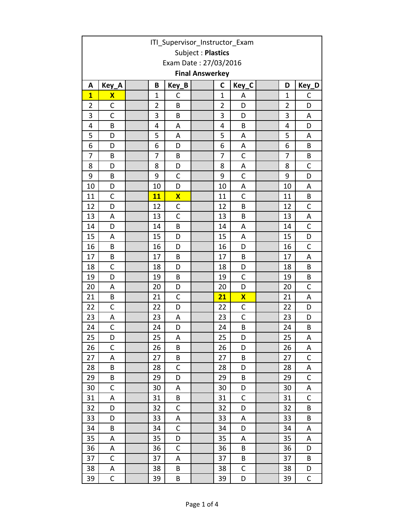| ITI_Supervisor_Instructor_Exam |                         |  |                |                         |                        |                |                         |  |                |              |
|--------------------------------|-------------------------|--|----------------|-------------------------|------------------------|----------------|-------------------------|--|----------------|--------------|
| Subject: Plastics              |                         |  |                |                         |                        |                |                         |  |                |              |
| Exam Date: 27/03/2016          |                         |  |                |                         |                        |                |                         |  |                |              |
|                                |                         |  |                |                         | <b>Final Answerkey</b> |                |                         |  |                |              |
| A                              | Key_A                   |  | B              | Key_B                   |                        | $\mathbf c$    | Key_C                   |  | D              | Key_D        |
| $\overline{\mathbf{1}}$        | $\overline{\mathbf{X}}$ |  | $\mathbf{1}$   | $\mathsf{C}$            |                        | $\mathbf{1}$   | Α                       |  | $\mathbf{1}$   | C            |
| $\overline{2}$                 | $\mathsf{C}$            |  | $\overline{2}$ | B                       |                        | $\overline{2}$ | D                       |  | $\overline{2}$ | D            |
| 3                              | $\mathsf{C}$            |  | 3              | B                       |                        | 3              | D                       |  | 3              | A            |
| 4                              | B                       |  | 4              | A                       |                        | 4              | B                       |  | 4              | D            |
| 5                              | D                       |  | 5              | A                       |                        | 5              | A                       |  | 5              | Α            |
| 6                              | D                       |  | 6              | D                       |                        | 6              | A                       |  | 6              | B            |
| 7                              | B                       |  | 7              | B                       |                        | 7              | $\mathsf{C}$            |  | 7              | В            |
| 8                              | D                       |  | 8              | D                       |                        | 8              | A                       |  | 8              | $\mathsf{C}$ |
| 9                              | B                       |  | 9              | $\mathsf{C}$            |                        | 9              | $\mathsf{C}$            |  | 9              | D            |
| 10                             | D                       |  | 10             | D                       |                        | 10             | A                       |  | 10             | Α            |
| 11                             | $\mathsf{C}$            |  | 11             | $\overline{\mathsf{X}}$ |                        | 11             | $\mathsf{C}$            |  | 11             | B            |
| 12                             | D                       |  | 12             | $\mathsf{C}$            |                        | 12             | B                       |  | 12             | $\mathsf{C}$ |
| 13                             | Α                       |  | 13             | $\mathsf{C}$            |                        | 13             | B                       |  | 13             | Α            |
| 14                             | D                       |  | 14             | B                       |                        | 14             | A                       |  | 14             | $\mathsf C$  |
| 15                             | A                       |  | 15             | D                       |                        | 15             | A                       |  | 15             | D            |
| 16                             | B                       |  | 16             | D                       |                        | 16             | D                       |  | 16             | C            |
| 17                             | B                       |  | 17             | B                       |                        | 17             | B                       |  | 17             | A            |
| 18                             | $\mathsf C$             |  | 18             | D                       |                        | 18             | D                       |  | 18             | B            |
| 19                             | D                       |  | 19             | B                       |                        | 19             | $\mathsf{C}$            |  | 19             | B            |
| 20                             | A                       |  | 20             | D                       |                        | 20             | D                       |  | 20             | C            |
| 21                             | B                       |  | 21             | $\mathsf{C}$            |                        | 21             | $\overline{\mathbf{X}}$ |  | 21             | A            |
| 22                             | $\mathsf C$             |  | 22             | D                       |                        | 22             | C                       |  | 22             | D            |
| 23                             | A                       |  | 23             | A                       |                        | 23             | $\mathsf{C}$            |  | 23             | D            |
| 24                             | $\mathsf{C}$            |  | 24             | D                       |                        | 24             | B                       |  | 24             | B            |
| 25                             | D                       |  | 25             | Α                       |                        | 25             | D                       |  | 25             | Α            |
| 26                             | $\mathsf C$             |  | 26             | Β                       |                        | 26             | D                       |  | 26             | Α            |
| 27                             | A                       |  | 27             | В                       |                        | 27             | B                       |  | 27             | С            |
| 28                             | B                       |  | 28             | C                       |                        | 28             | D                       |  | 28             | Α            |
| 29                             | В                       |  | 29             | D                       |                        | 29             | B                       |  | 29             | C            |
| 30                             | $\mathsf{C}$            |  | 30             | Α                       |                        | 30             | D                       |  | 30             | Α            |
| 31                             | Α                       |  | 31             | B                       |                        | 31             | $\mathsf C$             |  | 31             | C            |
| 32                             | D                       |  | 32             | $\mathsf{C}$            |                        | 32             | D                       |  | 32             | B            |
| 33                             | D                       |  | 33             | А                       |                        | 33             | Α                       |  | 33             | B            |
| 34                             | B                       |  | 34             | $\mathsf C$             |                        | 34             | D                       |  | 34             | A            |
| 35                             | A                       |  | 35             | D                       |                        | 35             | Α                       |  | 35             | A            |
| 36                             | Α                       |  | 36             | $\mathsf C$             |                        | 36             | B                       |  | 36             | D            |
| 37                             | C                       |  | 37             | Α                       |                        | 37             | B                       |  | 37             | B            |
| 38                             | A                       |  | 38             | B                       |                        | 38             | $\mathsf C$             |  | 38             | D            |
| 39                             | $\mathsf C$             |  | 39             | B                       |                        | 39             | D                       |  | 39             | С            |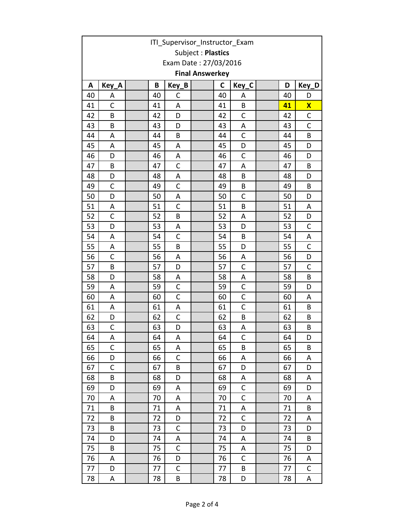| ITI_Supervisor_Instructor_Exam |              |  |    |              |  |    |              |  |    |                           |  |
|--------------------------------|--------------|--|----|--------------|--|----|--------------|--|----|---------------------------|--|
| Subject: Plastics              |              |  |    |              |  |    |              |  |    |                           |  |
| Exam Date: 27/03/2016          |              |  |    |              |  |    |              |  |    |                           |  |
| <b>Final Answerkey</b>         |              |  |    |              |  |    |              |  |    |                           |  |
| A                              | Key_A        |  | B  | Key_B        |  | C  | Key_C        |  | D  | Key_D                     |  |
| 40                             | A            |  | 40 | $\mathsf C$  |  | 40 | Α            |  | 40 | D                         |  |
| 41                             | $\mathsf{C}$ |  | 41 | A            |  | 41 | B            |  | 41 | $\boldsymbol{\mathsf{X}}$ |  |
| 42                             | B            |  | 42 | D            |  | 42 | $\mathsf C$  |  | 42 | $\mathsf C$               |  |
| 43                             | B            |  | 43 | D            |  | 43 | A            |  | 43 | $\mathsf{C}$              |  |
| 44                             | Α            |  | 44 | B            |  | 44 | $\mathsf C$  |  | 44 | B                         |  |
| 45                             | A            |  | 45 | A            |  | 45 | D            |  | 45 | D                         |  |
| 46                             | D            |  | 46 | A            |  | 46 | $\mathsf{C}$ |  | 46 | D                         |  |
| 47                             | B            |  | 47 | $\mathsf{C}$ |  | 47 | A            |  | 47 | B                         |  |
| 48                             | D            |  | 48 | A            |  | 48 | B            |  | 48 | D                         |  |
| 49                             | $\mathsf{C}$ |  | 49 | $\mathsf{C}$ |  | 49 | B            |  | 49 | B                         |  |
| 50                             | D            |  | 50 | Α            |  | 50 | C            |  | 50 | D                         |  |
| 51                             | A            |  | 51 | $\mathsf{C}$ |  | 51 | B            |  | 51 | A                         |  |
| 52                             | C            |  | 52 | B            |  | 52 | A            |  | 52 | D                         |  |
| 53                             | D            |  | 53 | A            |  | 53 | D            |  | 53 | C                         |  |
| 54                             | A            |  | 54 | $\mathsf{C}$ |  | 54 | B            |  | 54 | A                         |  |
| 55                             | A            |  | 55 | B            |  | 55 | D            |  | 55 | C                         |  |
| 56                             | $\mathsf{C}$ |  | 56 | A            |  | 56 | Α            |  | 56 | D                         |  |
| 57                             | B            |  | 57 | D            |  | 57 | $\mathsf{C}$ |  | 57 | С                         |  |
| 58                             | D            |  | 58 | A            |  | 58 | A            |  | 58 | B                         |  |
| 59                             | Α            |  | 59 | $\mathsf{C}$ |  | 59 | $\mathsf{C}$ |  | 59 | D                         |  |
| 60                             | A            |  | 60 | $\mathsf{C}$ |  | 60 | $\mathsf{C}$ |  | 60 | A                         |  |
| 61                             | A            |  | 61 | A            |  | 61 | $\mathsf{C}$ |  | 61 | B                         |  |
| 62                             | D            |  | 62 | $\mathsf{C}$ |  | 62 | B            |  | 62 | B                         |  |
| 63                             | C            |  | 63 | D            |  | 63 | A            |  | 63 | В                         |  |
| 64                             | Α            |  | 64 | Α            |  | 64 | $\mathsf{C}$ |  | 64 | D                         |  |
| 65                             | С            |  | 65 | Α            |  | 65 | B            |  | 65 | B                         |  |
| 66                             | D            |  | 66 | $\mathsf{C}$ |  | 66 | Α            |  | 66 | A                         |  |
| 67                             | $\mathsf{C}$ |  | 67 | B            |  | 67 | D            |  | 67 | D                         |  |
| 68                             | B            |  | 68 | D            |  | 68 | А            |  | 68 | Α                         |  |
| 69                             | D            |  | 69 | A            |  | 69 | $\mathsf{C}$ |  | 69 | D                         |  |
| 70                             | Α            |  | 70 | A            |  | 70 | $\mathsf C$  |  | 70 | A                         |  |
| 71                             | B            |  | 71 | Α            |  | 71 | Α            |  | 71 | B                         |  |
| 72                             | B            |  | 72 | D            |  | 72 | $\mathsf C$  |  | 72 | Α                         |  |
| 73                             | B            |  | 73 | $\mathsf{C}$ |  | 73 | D            |  | 73 | D                         |  |
| 74                             | D            |  | 74 | А            |  | 74 | Α            |  | 74 | В                         |  |
| 75                             | B            |  | 75 | $\mathsf{C}$ |  | 75 | A            |  | 75 | D                         |  |
| 76                             | A            |  | 76 | D            |  | 76 | C            |  | 76 | A                         |  |
| 77                             | D            |  | 77 | $\mathsf C$  |  | 77 | B            |  | 77 | С                         |  |
| 78                             | Α            |  | 78 | В            |  | 78 | D            |  | 78 | Α                         |  |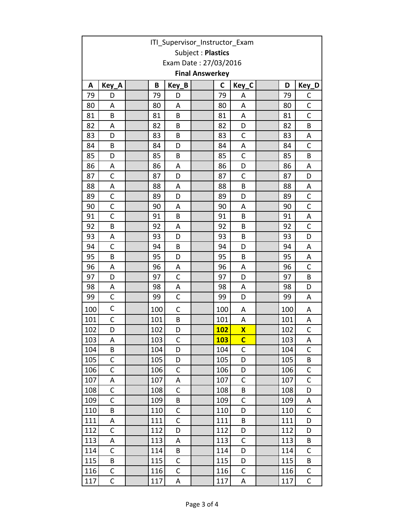| ITI_Supervisor_Instructor_Exam |                |  |     |              |  |             |                         |  |     |              |  |
|--------------------------------|----------------|--|-----|--------------|--|-------------|-------------------------|--|-----|--------------|--|
| Subject: Plastics              |                |  |     |              |  |             |                         |  |     |              |  |
| Exam Date: 27/03/2016          |                |  |     |              |  |             |                         |  |     |              |  |
| <b>Final Answerkey</b>         |                |  |     |              |  |             |                         |  |     |              |  |
| A                              | Key_A          |  | B   | Key_B        |  | $\mathbf c$ | Key_C                   |  | D   | Key_D        |  |
| 79                             | D              |  | 79  | D            |  | 79          | Α                       |  | 79  | C            |  |
| 80                             | A              |  | 80  | Α            |  | 80          | A                       |  | 80  | $\mathsf C$  |  |
| 81                             | B              |  | 81  | B            |  | 81          | A                       |  | 81  | $\mathsf{C}$ |  |
| 82                             | A              |  | 82  | B            |  | 82          | D                       |  | 82  | B            |  |
| 83                             | D              |  | 83  | B            |  | 83          | C                       |  | 83  | А            |  |
| 84                             | B              |  | 84  | D            |  | 84          | А                       |  | 84  | C            |  |
| 85                             | D              |  | 85  | B            |  | 85          | $\mathsf{C}$            |  | 85  | B            |  |
| 86                             | A              |  | 86  | A            |  | 86          | D                       |  | 86  | A            |  |
| 87                             | C              |  | 87  | D            |  | 87          | $\mathsf C$             |  | 87  | D            |  |
| 88                             | A              |  | 88  | A            |  | 88          | B                       |  | 88  | Α            |  |
| 89                             | C              |  | 89  | D            |  | 89          | D                       |  | 89  | С            |  |
| 90                             | $\mathsf{C}$   |  | 90  | А            |  | 90          | Α                       |  | 90  | C            |  |
| 91                             | $\mathsf{C}$   |  | 91  | B            |  | 91          | B                       |  | 91  | A            |  |
| 92                             | B              |  | 92  | A            |  | 92          | B                       |  | 92  | $\mathsf{C}$ |  |
| 93                             | A              |  | 93  | D            |  | 93          | B                       |  | 93  | D            |  |
| 94                             | $\mathsf{C}$   |  | 94  | B            |  | 94          | D                       |  | 94  | Α            |  |
| 95                             | B              |  | 95  | D            |  | 95          | B                       |  | 95  | Α            |  |
| 96                             | Α              |  | 96  | А            |  | 96          | Α                       |  | 96  | C            |  |
| 97                             | D              |  | 97  | $\mathsf{C}$ |  | 97          | D                       |  | 97  | B            |  |
| 98                             | А              |  | 98  | А            |  | 98          | А                       |  | 98  | D            |  |
| 99                             | $\mathsf{C}$   |  | 99  | $\mathsf{C}$ |  | 99          | D                       |  | 99  | A            |  |
| 100                            | $\mathsf{C}$   |  | 100 | $\mathsf{C}$ |  | 100         | Α                       |  | 100 | Α            |  |
| 101                            | C              |  | 101 | B            |  | 101         | A                       |  | 101 | Α            |  |
| 102                            | D              |  | 102 | D            |  | <b>102</b>  | $\overline{\mathbf{X}}$ |  | 102 | $\mathsf{C}$ |  |
| 103                            | A              |  | 103 | C            |  | <b>103</b>  | $\overline{c}$          |  | 103 | Α            |  |
| 104                            | Β              |  | 104 | D            |  | 104         | $\mathsf C$             |  | 104 | C            |  |
| 105                            | C              |  | 105 | D            |  | 105         | D                       |  | 105 | B            |  |
| 106                            | $\mathsf{C}$   |  | 106 | $\mathsf C$  |  | 106         | D                       |  | 106 | С            |  |
| 107                            | A              |  | 107 | A            |  | 107         | C                       |  | 107 | $\mathsf{C}$ |  |
| 108                            | $\mathsf C$    |  | 108 | $\mathsf{C}$ |  | 108         | Β                       |  | 108 | D            |  |
| 109                            | $\overline{C}$ |  | 109 | B            |  | 109         | $\mathsf{C}$            |  | 109 | A            |  |
| 110                            | B              |  | 110 | $\mathsf C$  |  | 110         | D                       |  | 110 | C            |  |
| 111                            | Α              |  | 111 | $\mathsf{C}$ |  | 111         | B                       |  | 111 | D            |  |
| 112                            | C              |  | 112 | D            |  | 112         | D                       |  | 112 | D            |  |
| 113                            | А              |  | 113 | A            |  | 113         | $\mathsf{C}$            |  | 113 | B            |  |
| 114                            | С              |  | 114 | B            |  | 114         | D                       |  | 114 | C            |  |
| 115                            | B              |  | 115 | $\mathsf{C}$ |  | 115         | D                       |  | 115 | B            |  |
| 116                            | $\mathsf{C}$   |  | 116 | $\mathsf{C}$ |  | 116         | $\mathsf C$             |  | 116 | C            |  |
| 117                            | $\mathsf C$    |  | 117 | Α            |  | 117         | Α                       |  | 117 | C            |  |